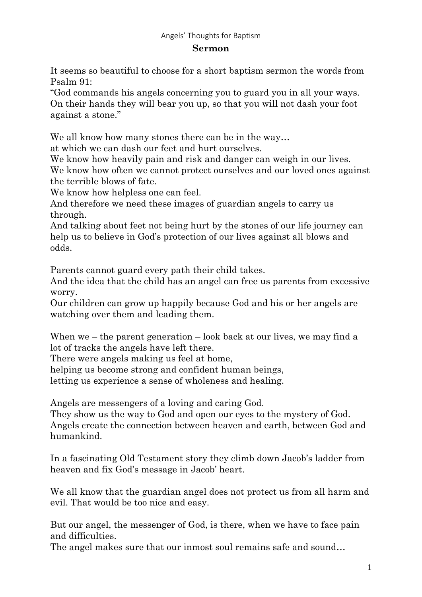## Angels' Thoughts for Baptism

## **Sermon**

It seems so beautiful to choose for a short baptism sermon the words from Psalm 91:

"God commands his angels concerning you to guard you in all your ways. On their hands they will bear you up, so that you will not dash your foot against a stone."

We all know how many stones there can be in the way...

at which we can dash our feet and hurt ourselves.

We know how heavily pain and risk and danger can weigh in our lives. We know how often we cannot protect ourselves and our loved ones against the terrible blows of fate.

We know how helpless one can feel.

And therefore we need these images of guardian angels to carry us through.

And talking about feet not being hurt by the stones of our life journey can help us to believe in God's protection of our lives against all blows and odds.

Parents cannot guard every path their child takes.

And the idea that the child has an angel can free us parents from excessive worry.

Our children can grow up happily because God and his or her angels are watching over them and leading them.

When we – the parent generation – look back at our lives, we may find a lot of tracks the angels have left there.

There were angels making us feel at home,

helping us become strong and confident human beings,

letting us experience a sense of wholeness and healing.

Angels are messengers of a loving and caring God.

They show us the way to God and open our eyes to the mystery of God. Angels create the connection between heaven and earth, between God and humankind.

In a fascinating Old Testament story they climb down Jacob's ladder from heaven and fix God's message in Jacob' heart.

We all know that the guardian angel does not protect us from all harm and evil. That would be too nice and easy.

But our angel, the messenger of God, is there, when we have to face pain and difficulties.

The angel makes sure that our inmost soul remains safe and sound…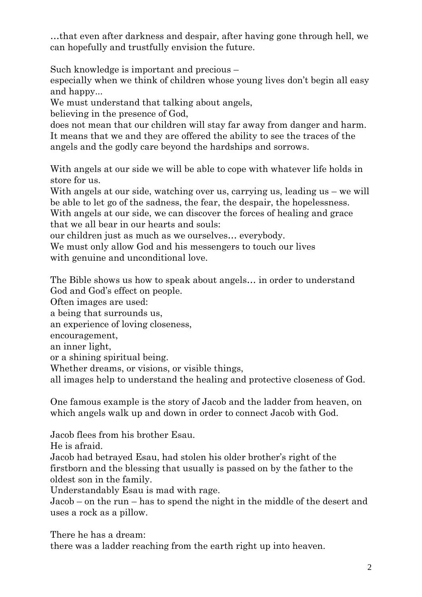…that even after darkness and despair, after having gone through hell, we can hopefully and trustfully envision the future.

Such knowledge is important and precious –

especially when we think of children whose young lives don't begin all easy and happy...

We must understand that talking about angels,

believing in the presence of God,

does not mean that our children will stay far away from danger and harm. It means that we and they are offered the ability to see the traces of the angels and the godly care beyond the hardships and sorrows.

With angels at our side we will be able to cope with whatever life holds in store for us.

With angels at our side, watching over us, carrying us, leading us – we will be able to let go of the sadness, the fear, the despair, the hopelessness. With angels at our side, we can discover the forces of healing and grace that we all bear in our hearts and souls:

our children just as much as we ourselves… everybody.

We must only allow God and his messengers to touch our lives with genuine and unconditional love.

The Bible shows us how to speak about angels… in order to understand God and God's effect on people.

Often images are used:

a being that surrounds us,

an experience of loving closeness,

encouragement,

an inner light,

or a shining spiritual being.

Whether dreams, or visions, or visible things,

all images help to understand the healing and protective closeness of God.

One famous example is the story of Jacob and the ladder from heaven, on which angels walk up and down in order to connect Jacob with God.

Jacob flees from his brother Esau.

He is afraid.

Jacob had betrayed Esau, had stolen his older brother's right of the firstborn and the blessing that usually is passed on by the father to the oldest son in the family.

Understandably Esau is mad with rage.

Jacob – on the run – has to spend the night in the middle of the desert and uses a rock as a pillow.

There he has a dream:

there was a ladder reaching from the earth right up into heaven.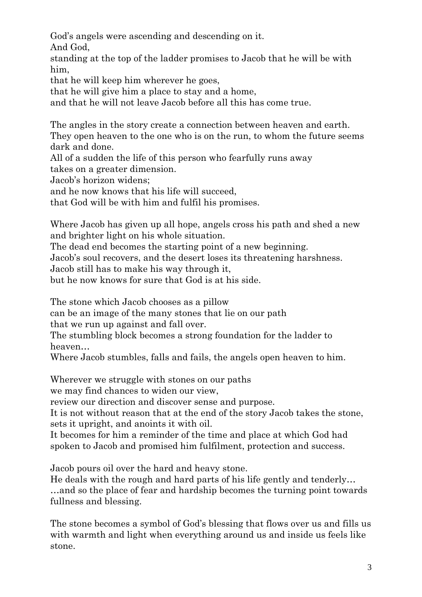God's angels were ascending and descending on it.

And God,

standing at the top of the ladder promises to Jacob that he will be with him,

that he will keep him wherever he goes,

that he will give him a place to stay and a home,

and that he will not leave Jacob before all this has come true.

The angles in the story create a connection between heaven and earth.

They open heaven to the one who is on the run, to whom the future seems dark and done.

All of a sudden the life of this person who fearfully runs away

takes on a greater dimension.

Jacob's horizon widens;

and he now knows that his life will succeed,

that God will be with him and fulfil his promises.

Where Jacob has given up all hope, angels cross his path and shed a new and brighter light on his whole situation.

The dead end becomes the starting point of a new beginning.

Jacob's soul recovers, and the desert loses its threatening harshness.

Jacob still has to make his way through it,

but he now knows for sure that God is at his side.

The stone which Jacob chooses as a pillow

can be an image of the many stones that lie on our path

that we run up against and fall over.

The stumbling block becomes a strong foundation for the ladder to heaven…

Where Jacob stumbles, falls and fails, the angels open heaven to him.

Wherever we struggle with stones on our paths

we may find chances to widen our view,

review our direction and discover sense and purpose.

It is not without reason that at the end of the story Jacob takes the stone, sets it upright, and anoints it with oil.

It becomes for him a reminder of the time and place at which God had spoken to Jacob and promised him fulfilment, protection and success.

Jacob pours oil over the hard and heavy stone.

He deals with the rough and hard parts of his life gently and tenderly… …and so the place of fear and hardship becomes the turning point towards fullness and blessing.

The stone becomes a symbol of God's blessing that flows over us and fills us with warmth and light when everything around us and inside us feels like stone.